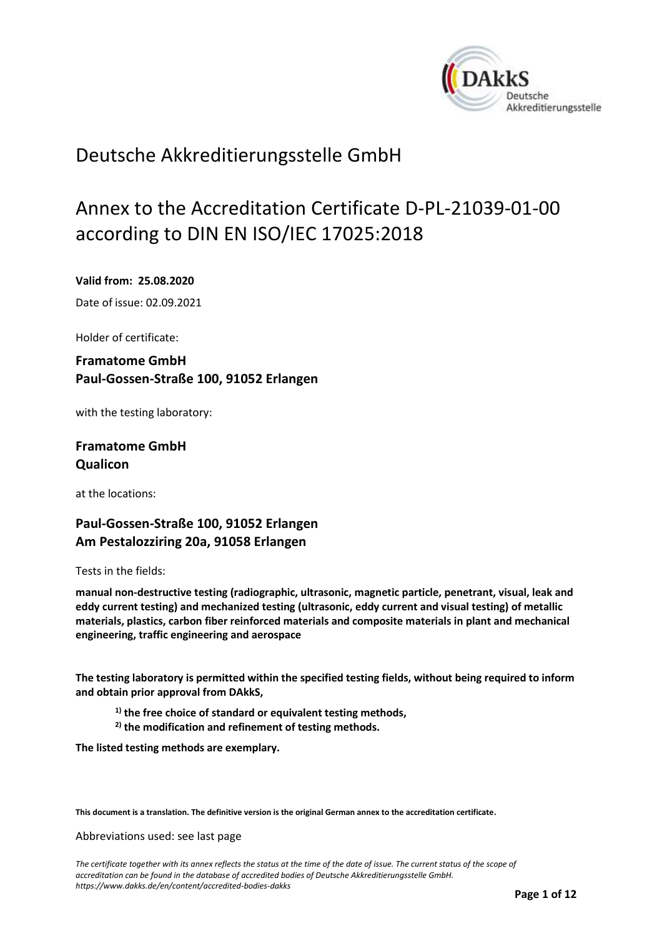<span id="page-0-0"></span>

## Deutsche Akkreditierungsstelle GmbH

# Annex to the Accreditation Certificate D-PL-21039-01-00 according to DIN EN ISO/IEC 17025:2018

#### <span id="page-0-1"></span>**Valid from: 25.08.2020**

<span id="page-0-2"></span>Date of issue: 02.09.2021

Holder of certificate:

## **Framatome GmbH Paul-Gossen-Straße 100, 91052 Erlangen**

with the testing laboratory:

### **Framatome GmbH Qualicon**

at the locations:

## **Paul-Gossen-Straße 100, 91052 Erlangen Am Pestalozziring 20a, 91058 Erlangen**

Tests in the fields:

**manual non-destructive testing (radiographic, ultrasonic, magnetic particle, penetrant, visual, leak and eddy current testing) and mechanized testing (ultrasonic, eddy current and visual testing) of metallic materials, plastics, carbon fiber reinforced materials and composite materials in plant and mechanical engineering, traffic engineering and aerospace**

**The testing laboratory is permitted within the specified testing fields, without being required to inform and obtain prior approval from DAkkS,**

- **1) the free choice of standard or equivalent testing methods,**
- **2) the modification and refinement of testing methods.**

**The listed testing methods are exemplary.**

**This document is a translation. The definitive version is the original German annex to the accreditation certificate.**

Abbreviations used: see last page

*The certificate together with its annex reflects the status at the time of the date of issue. The current status of the scope of accreditation can be found in the database of accredited bodies of Deutsche Akkreditierungsstelle GmbH. <https://www.dakks.de/en/content/accredited-bodies-dakks>*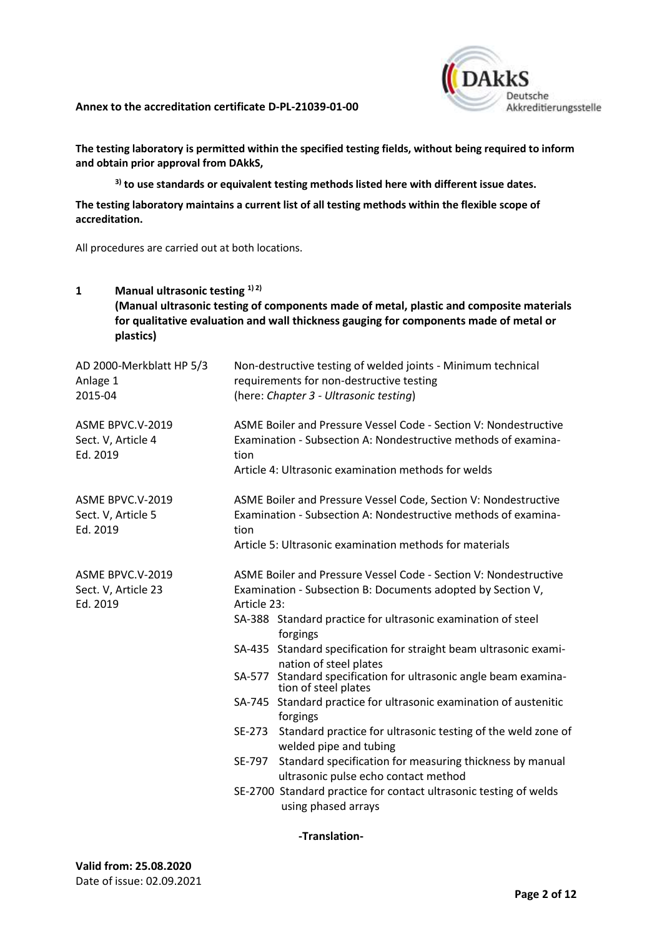

**The testing laboratory is permitted within the specified testing fields, without being required to inform and obtain prior approval from DAkkS,**

**3) to use standards or equivalent testing methods listed here with different issue dates.**

**The testing laboratory maintains a current list of all testing methods within the flexible scope of accreditation.**

All procedures are carried out at both locations.

| Manual ultrasonic testing 1) 2)<br>1<br>plastics)   | (Manual ultrasonic testing of components made of metal, plastic and composite materials<br>for qualitative evaluation and wall thickness gauging for components made of metal or                                                                                                                                                                                                                                                                                                                                                                                                                                                                                                                                                                                                                                     |
|-----------------------------------------------------|----------------------------------------------------------------------------------------------------------------------------------------------------------------------------------------------------------------------------------------------------------------------------------------------------------------------------------------------------------------------------------------------------------------------------------------------------------------------------------------------------------------------------------------------------------------------------------------------------------------------------------------------------------------------------------------------------------------------------------------------------------------------------------------------------------------------|
| AD 2000-Merkblatt HP 5/3<br>Anlage 1<br>2015-04     | Non-destructive testing of welded joints - Minimum technical<br>requirements for non-destructive testing<br>(here: Chapter 3 - Ultrasonic testing)                                                                                                                                                                                                                                                                                                                                                                                                                                                                                                                                                                                                                                                                   |
| ASME BPVC.V-2019<br>Sect. V, Article 4<br>Ed. 2019  | ASME Boiler and Pressure Vessel Code - Section V: Nondestructive<br>Examination - Subsection A: Nondestructive methods of examina-<br>tion<br>Article 4: Ultrasonic examination methods for welds                                                                                                                                                                                                                                                                                                                                                                                                                                                                                                                                                                                                                    |
| ASME BPVC.V-2019<br>Sect. V, Article 5<br>Ed. 2019  | ASME Boiler and Pressure Vessel Code, Section V: Nondestructive<br>Examination - Subsection A: Nondestructive methods of examina-<br>tion<br>Article 5: Ultrasonic examination methods for materials                                                                                                                                                                                                                                                                                                                                                                                                                                                                                                                                                                                                                 |
| ASME BPVC.V-2019<br>Sect. V, Article 23<br>Ed. 2019 | ASME Boiler and Pressure Vessel Code - Section V: Nondestructive<br>Examination - Subsection B: Documents adopted by Section V,<br>Article 23:<br>SA-388 Standard practice for ultrasonic examination of steel<br>forgings<br>SA-435 Standard specification for straight beam ultrasonic exami-<br>nation of steel plates<br>SA-577 Standard specification for ultrasonic angle beam examina-<br>tion of steel plates<br>SA-745 Standard practice for ultrasonic examination of austenitic<br>forgings<br>Standard practice for ultrasonic testing of the weld zone of<br>SE-273<br>welded pipe and tubing<br>Standard specification for measuring thickness by manual<br>SE-797<br>ultrasonic pulse echo contact method<br>SE-2700 Standard practice for contact ultrasonic testing of welds<br>using phased arrays |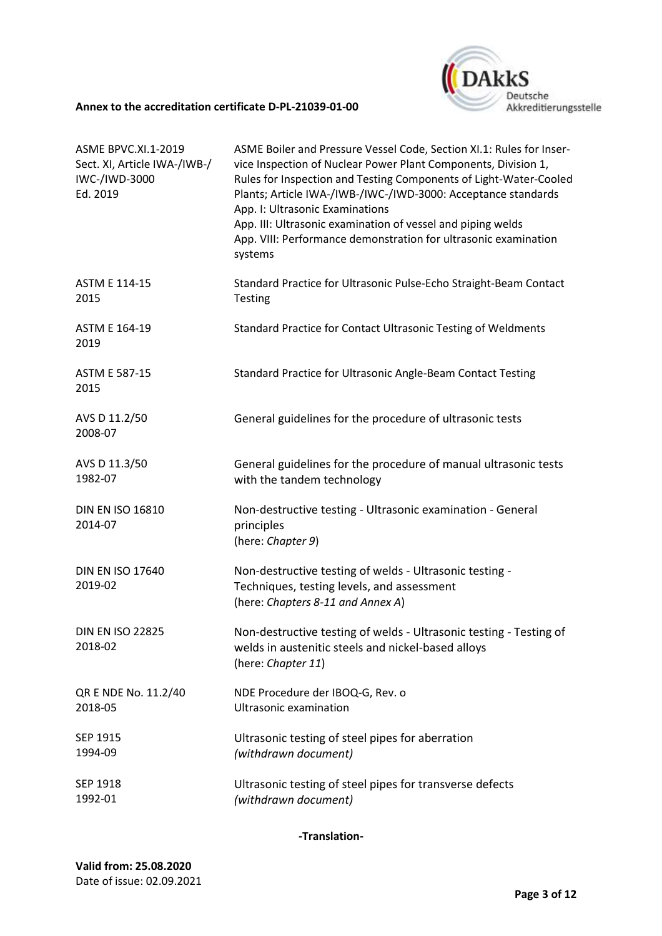

| <b>ASME BPVC.XI.1-2019</b><br>Sect. XI, Article IWA-/IWB-/<br>IWC-/IWD-3000<br>Ed. 2019 | ASME Boiler and Pressure Vessel Code, Section XI.1: Rules for Inser-<br>vice Inspection of Nuclear Power Plant Components, Division 1,<br>Rules for Inspection and Testing Components of Light-Water-Cooled<br>Plants; Article IWA-/IWB-/IWC-/IWD-3000: Acceptance standards<br>App. I: Ultrasonic Examinations<br>App. III: Ultrasonic examination of vessel and piping welds<br>App. VIII: Performance demonstration for ultrasonic examination<br>systems |
|-----------------------------------------------------------------------------------------|--------------------------------------------------------------------------------------------------------------------------------------------------------------------------------------------------------------------------------------------------------------------------------------------------------------------------------------------------------------------------------------------------------------------------------------------------------------|
| <b>ASTM E 114-15</b><br>2015                                                            | Standard Practice for Ultrasonic Pulse-Echo Straight-Beam Contact<br>Testing                                                                                                                                                                                                                                                                                                                                                                                 |
| <b>ASTM E 164-19</b><br>2019                                                            | Standard Practice for Contact Ultrasonic Testing of Weldments                                                                                                                                                                                                                                                                                                                                                                                                |
| <b>ASTM E 587-15</b><br>2015                                                            | Standard Practice for Ultrasonic Angle-Beam Contact Testing                                                                                                                                                                                                                                                                                                                                                                                                  |
| AVS D 11.2/50<br>2008-07                                                                | General guidelines for the procedure of ultrasonic tests                                                                                                                                                                                                                                                                                                                                                                                                     |
| AVS D 11.3/50<br>1982-07                                                                | General guidelines for the procedure of manual ultrasonic tests<br>with the tandem technology                                                                                                                                                                                                                                                                                                                                                                |
| <b>DIN EN ISO 16810</b><br>2014-07                                                      | Non-destructive testing - Ultrasonic examination - General<br>principles<br>(here: Chapter 9)                                                                                                                                                                                                                                                                                                                                                                |
| <b>DIN EN ISO 17640</b><br>2019-02                                                      | Non-destructive testing of welds - Ultrasonic testing -<br>Techniques, testing levels, and assessment<br>(here: Chapters 8-11 and Annex A)                                                                                                                                                                                                                                                                                                                   |
| <b>DIN EN ISO 22825</b><br>2018-02                                                      | Non-destructive testing of welds - Ultrasonic testing - Testing of<br>welds in austenitic steels and nickel-based alloys<br>(here: Chapter 11)                                                                                                                                                                                                                                                                                                               |
| QR E NDE No. 11.2/40<br>2018-05                                                         | NDE Procedure der IBOQ-G, Rev. o<br>Ultrasonic examination                                                                                                                                                                                                                                                                                                                                                                                                   |
| SEP 1915<br>1994-09                                                                     | Ultrasonic testing of steel pipes for aberration<br>(withdrawn document)                                                                                                                                                                                                                                                                                                                                                                                     |
| SEP 1918<br>1992-01                                                                     | Ultrasonic testing of steel pipes for transverse defects<br>(withdrawn document)                                                                                                                                                                                                                                                                                                                                                                             |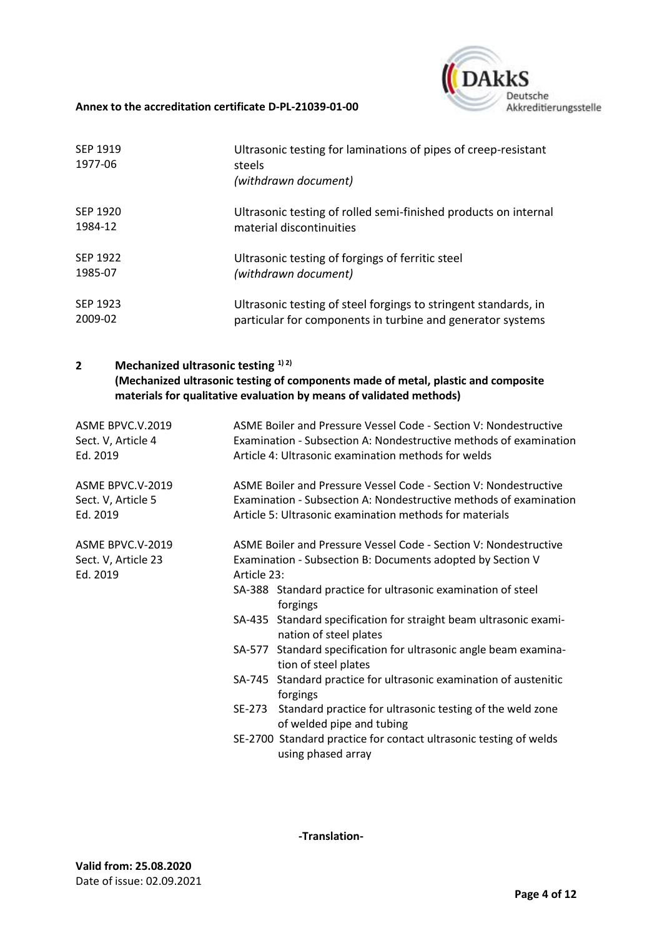

| SEP 1919<br>1977-06 | Ultrasonic testing for laminations of pipes of creep-resistant<br>steels<br>(withdrawn document) |
|---------------------|--------------------------------------------------------------------------------------------------|
| SEP 1920            | Ultrasonic testing of rolled semi-finished products on internal                                  |
| 1984-12             | material discontinuities                                                                         |
| SEP 1922            | Ultrasonic testing of forgings of ferritic steel                                                 |
| 1985-07             | (withdrawn document)                                                                             |
| SEP 1923            | Ultrasonic testing of steel forgings to stringent standards, in                                  |
| 2009-02             | particular for components in turbine and generator systems                                       |

## **2 Mechanized ultrasonic testing 1) 2) (Mechanized ultrasonic testing of components made of metal, plastic and composite materials for qualitative evaluation by means of validated methods)**

| ASME BPVC.V.2019<br>Sect. V, Article 4<br>Ed. 2019  |                       | ASME Boiler and Pressure Vessel Code - Section V: Nondestructive<br>Examination - Subsection A: Nondestructive methods of examination<br>Article 4: Ultrasonic examination methods for welds                                                                                                                                                                                                                                                                                                                                                                                                                                                                                |
|-----------------------------------------------------|-----------------------|-----------------------------------------------------------------------------------------------------------------------------------------------------------------------------------------------------------------------------------------------------------------------------------------------------------------------------------------------------------------------------------------------------------------------------------------------------------------------------------------------------------------------------------------------------------------------------------------------------------------------------------------------------------------------------|
| ASME BPVC.V-2019<br>Sect. V, Article 5<br>Ed. 2019  |                       | ASME Boiler and Pressure Vessel Code - Section V: Nondestructive<br>Examination - Subsection A: Nondestructive methods of examination<br>Article 5: Ultrasonic examination methods for materials                                                                                                                                                                                                                                                                                                                                                                                                                                                                            |
| ASME BPVC.V-2019<br>Sect. V, Article 23<br>Ed. 2019 | Article 23:<br>SE-273 | ASME Boiler and Pressure Vessel Code - Section V: Nondestructive<br>Examination - Subsection B: Documents adopted by Section V<br>SA-388 Standard practice for ultrasonic examination of steel<br>forgings<br>SA-435 Standard specification for straight beam ultrasonic exami-<br>nation of steel plates<br>SA-577 Standard specification for ultrasonic angle beam examina-<br>tion of steel plates<br>SA-745 Standard practice for ultrasonic examination of austenitic<br>forgings<br>Standard practice for ultrasonic testing of the weld zone<br>of welded pipe and tubing<br>SE-2700 Standard practice for contact ultrasonic testing of welds<br>using phased array |
|                                                     |                       |                                                                                                                                                                                                                                                                                                                                                                                                                                                                                                                                                                                                                                                                             |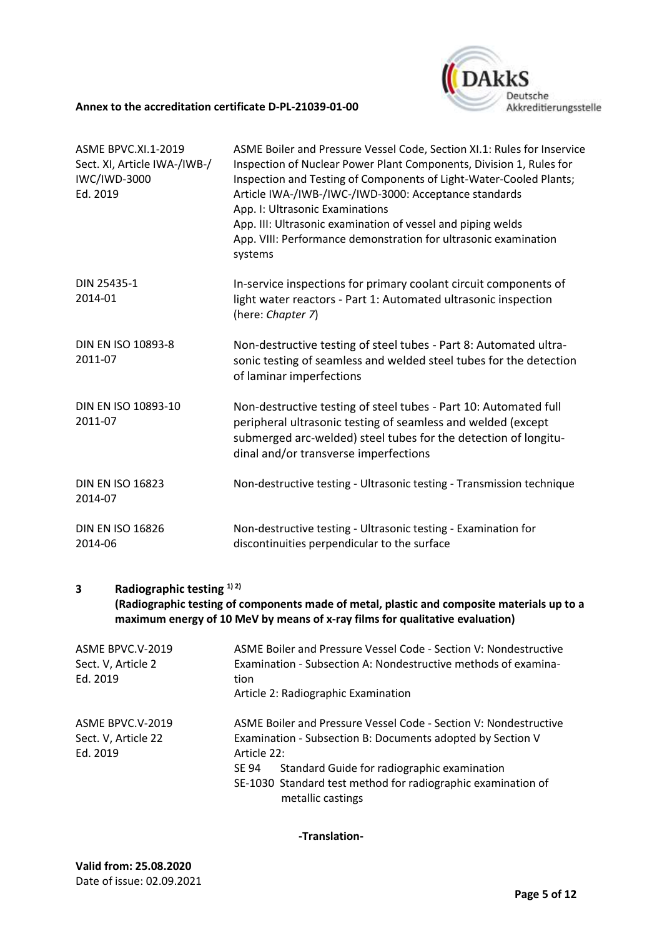

| ASME BPVC.XI.1-2019<br>Sect. XI, Article IWA-/IWB-/<br><b>IWC/IWD-3000</b><br>Ed. 2019 | ASME Boiler and Pressure Vessel Code, Section XI.1: Rules for Inservice<br>Inspection of Nuclear Power Plant Components, Division 1, Rules for<br>Inspection and Testing of Components of Light-Water-Cooled Plants;<br>Article IWA-/IWB-/IWC-/IWD-3000: Acceptance standards<br>App. I: Ultrasonic Examinations<br>App. III: Ultrasonic examination of vessel and piping welds<br>App. VIII: Performance demonstration for ultrasonic examination<br>systems |
|----------------------------------------------------------------------------------------|---------------------------------------------------------------------------------------------------------------------------------------------------------------------------------------------------------------------------------------------------------------------------------------------------------------------------------------------------------------------------------------------------------------------------------------------------------------|
| DIN 25435-1<br>2014-01                                                                 | In-service inspections for primary coolant circuit components of<br>light water reactors - Part 1: Automated ultrasonic inspection<br>(here: Chapter 7)                                                                                                                                                                                                                                                                                                       |
| DIN EN ISO 10893-8<br>2011-07                                                          | Non-destructive testing of steel tubes - Part 8: Automated ultra-<br>sonic testing of seamless and welded steel tubes for the detection<br>of laminar imperfections                                                                                                                                                                                                                                                                                           |
| DIN EN ISO 10893-10<br>2011-07                                                         | Non-destructive testing of steel tubes - Part 10: Automated full<br>peripheral ultrasonic testing of seamless and welded (except<br>submerged arc-welded) steel tubes for the detection of longitu-<br>dinal and/or transverse imperfections                                                                                                                                                                                                                  |
| <b>DIN EN ISO 16823</b><br>2014-07                                                     | Non-destructive testing - Ultrasonic testing - Transmission technique                                                                                                                                                                                                                                                                                                                                                                                         |
| <b>DIN EN ISO 16826</b><br>2014-06                                                     | Non-destructive testing - Ultrasonic testing - Examination for<br>discontinuities perpendicular to the surface                                                                                                                                                                                                                                                                                                                                                |

## **3 Radiographic testing 1) 2)**

**(Radiographic testing of components made of metal, plastic and composite materials up to a maximum energy of 10 MeV by means of x-ray films for qualitative evaluation)**

| ASME BPVC.V-2019<br>Sect. V, Article 2 | ASME Boiler and Pressure Vessel Code - Section V: Nondestructive<br>Examination - Subsection A: Nondestructive methods of examina- |
|----------------------------------------|------------------------------------------------------------------------------------------------------------------------------------|
| Ed. 2019                               | tion                                                                                                                               |
|                                        | Article 2: Radiographic Examination                                                                                                |
| ASME BPVC.V-2019                       | ASME Boiler and Pressure Vessel Code - Section V: Nondestructive                                                                   |
| Sect. V, Article 22                    | Examination - Subsection B: Documents adopted by Section V                                                                         |
| Ed. 2019                               | Article 22:                                                                                                                        |
|                                        | Standard Guide for radiographic examination<br>SE 94                                                                               |
|                                        | SE-1030 Standard test method for radiographic examination of<br>metallic castings                                                  |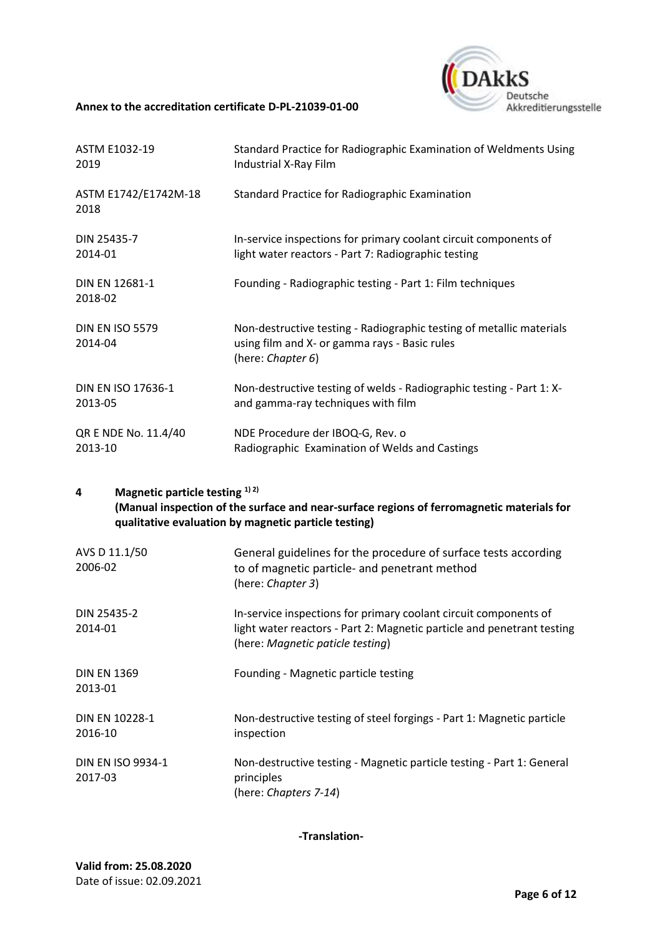

| ASTM E1032-19                     | Standard Practice for Radiographic Examination of Weldments Using                                                                          |
|-----------------------------------|--------------------------------------------------------------------------------------------------------------------------------------------|
| 2019                              | Industrial X-Ray Film                                                                                                                      |
| ASTM E1742/E1742M-18<br>2018      | Standard Practice for Radiographic Examination                                                                                             |
| DIN 25435-7                       | In-service inspections for primary coolant circuit components of                                                                           |
| 2014-01                           | light water reactors - Part 7: Radiographic testing                                                                                        |
| DIN EN 12681-1<br>2018-02         | Founding - Radiographic testing - Part 1: Film techniques                                                                                  |
| <b>DIN EN ISO 5579</b><br>2014-04 | Non-destructive testing - Radiographic testing of metallic materials<br>using film and X- or gamma rays - Basic rules<br>(here: Chapter 6) |
| DIN EN ISO 17636-1                | Non-destructive testing of welds - Radiographic testing - Part 1: X-                                                                       |
| 2013-05                           | and gamma-ray techniques with film                                                                                                         |
| QR E NDE No. 11.4/40              | NDE Procedure der IBOQ-G, Rev. o                                                                                                           |
| 2013-10                           | Radiographic Examination of Welds and Castings                                                                                             |

## **4 Magnetic particle testing 1) 2) (Manual inspection of the surface and near-surface regions of ferromagnetic materials for qualitative evaluation by magnetic particle testing)**

| AVS D 11.1/50<br>2006-02            | General guidelines for the procedure of surface tests according<br>to of magnetic particle- and penetrant method<br>(here: Chapter 3)                                          |
|-------------------------------------|--------------------------------------------------------------------------------------------------------------------------------------------------------------------------------|
| DIN 25435-2<br>2014-01              | In-service inspections for primary coolant circuit components of<br>light water reactors - Part 2: Magnetic particle and penetrant testing<br>(here: Magnetic paticle testing) |
| <b>DIN EN 1369</b><br>2013-01       | Founding - Magnetic particle testing                                                                                                                                           |
| DIN EN 10228-1<br>2016-10           | Non-destructive testing of steel forgings - Part 1: Magnetic particle<br>inspection                                                                                            |
| <b>DIN EN ISO 9934-1</b><br>2017-03 | Non-destructive testing - Magnetic particle testing - Part 1: General<br>principles<br>(here: Chapters 7-14)                                                                   |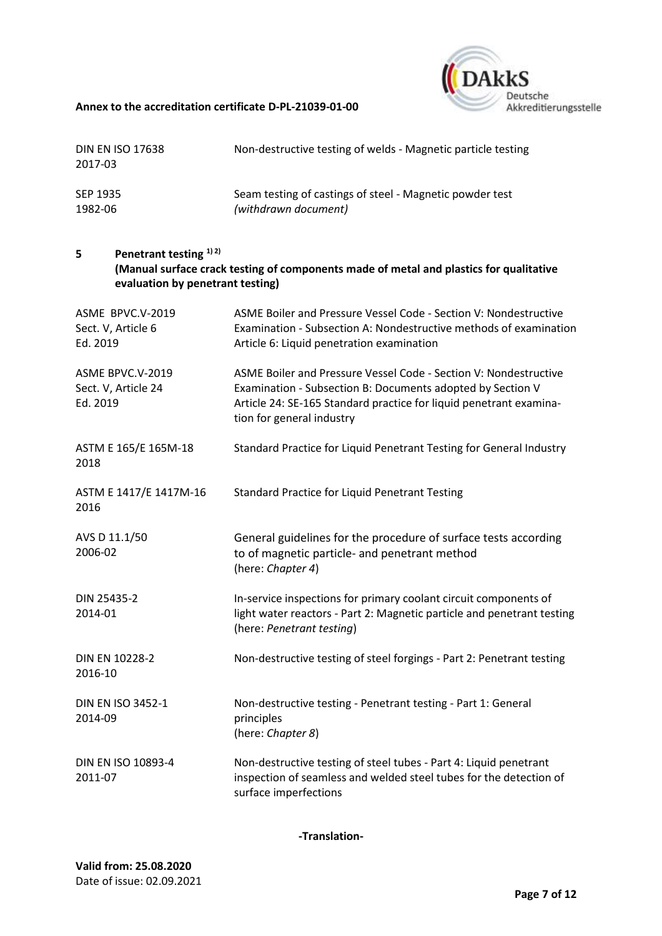

| <b>DIN EN ISO 17638</b><br>2017-03                                                     | Non-destructive testing of welds - Magnetic particle testing                                                                                                                                                                      |
|----------------------------------------------------------------------------------------|-----------------------------------------------------------------------------------------------------------------------------------------------------------------------------------------------------------------------------------|
| SEP 1935<br>1982-06                                                                    | Seam testing of castings of steel - Magnetic powder test<br>(withdrawn document)                                                                                                                                                  |
| Penetrant testing <sup>1)</sup> <sup>2)</sup><br>5<br>evaluation by penetrant testing) | (Manual surface crack testing of components made of metal and plastics for qualitative                                                                                                                                            |
| ASME BPVC.V-2019<br>Sect. V, Article 6<br>Ed. 2019                                     | ASME Boiler and Pressure Vessel Code - Section V: Nondestructive<br>Examination - Subsection A: Nondestructive methods of examination<br>Article 6: Liquid penetration examination                                                |
| ASME BPVC.V-2019<br>Sect. V, Article 24<br>Ed. 2019                                    | ASME Boiler and Pressure Vessel Code - Section V: Nondestructive<br>Examination - Subsection B: Documents adopted by Section V<br>Article 24: SE-165 Standard practice for liquid penetrant examina-<br>tion for general industry |
| ASTM E 165/E 165M-18<br>2018                                                           | Standard Practice for Liquid Penetrant Testing for General Industry                                                                                                                                                               |
| ASTM E 1417/E 1417M-16<br>2016                                                         | <b>Standard Practice for Liquid Penetrant Testing</b>                                                                                                                                                                             |
| AVS D 11.1/50<br>2006-02                                                               | General guidelines for the procedure of surface tests according<br>to of magnetic particle- and penetrant method<br>(here: Chapter 4)                                                                                             |
| DIN 25435-2<br>2014-01                                                                 | In-service inspections for primary coolant circuit components of<br>light water reactors - Part 2: Magnetic particle and penetrant testing<br>(here: Penetrant testing)                                                           |
| DIN EN 10228-2<br>2016-10                                                              | Non-destructive testing of steel forgings - Part 2: Penetrant testing                                                                                                                                                             |
| <b>DIN EN ISO 3452-1</b><br>2014-09                                                    | Non-destructive testing - Penetrant testing - Part 1: General<br>principles<br>(here: Chapter 8)                                                                                                                                  |
| DIN EN ISO 10893-4<br>2011-07                                                          | Non-destructive testing of steel tubes - Part 4: Liquid penetrant<br>inspection of seamless and welded steel tubes for the detection of<br>surface imperfections                                                                  |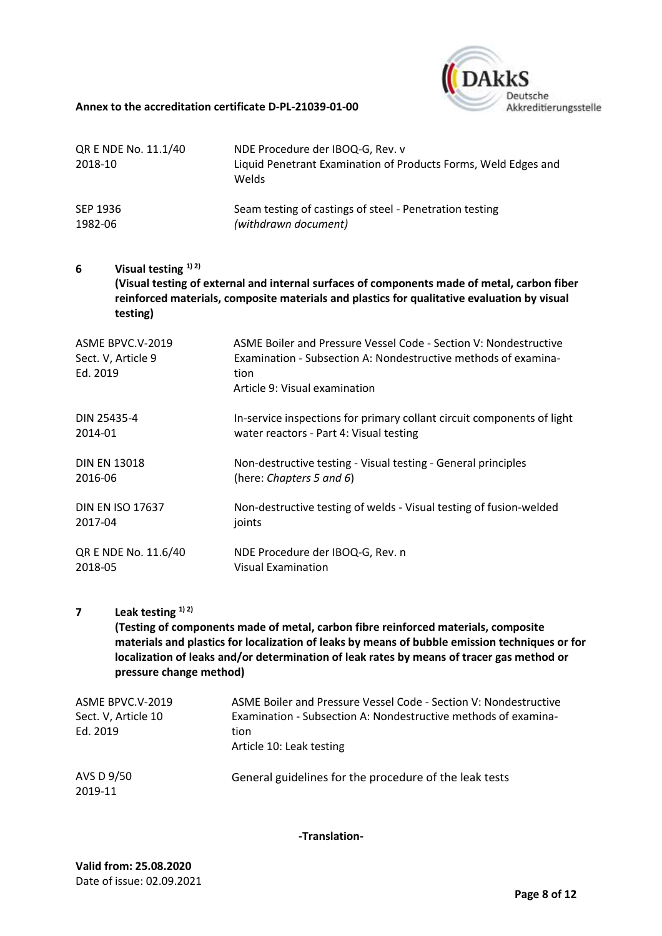

| QR E NDE No. 11.1/40 | NDE Procedure der IBOQ-G, Rev. v                                        |
|----------------------|-------------------------------------------------------------------------|
| 2018-10              | Liquid Penetrant Examination of Products Forms, Weld Edges and<br>Welds |
| SEP 1936             | Seam testing of castings of steel - Penetration testing                 |
| 1982-06              | (withdrawn document)                                                    |
|                      |                                                                         |

**6 Visual testing 1) 2) (Visual testing of external and internal surfaces of components made of metal, carbon fiber reinforced materials, composite materials and plastics for qualitative evaluation by visual testing)**

| ASME BPVC.V-2019<br>Sect. V, Article 9<br>Ed. 2019 | ASME Boiler and Pressure Vessel Code - Section V: Nondestructive<br>Examination - Subsection A: Nondestructive methods of examina-<br>tion<br>Article 9: Visual examination |
|----------------------------------------------------|-----------------------------------------------------------------------------------------------------------------------------------------------------------------------------|
| DIN 25435-4                                        | In-service inspections for primary collant circuit components of light                                                                                                      |
| 2014-01                                            | water reactors - Part 4: Visual testing                                                                                                                                     |
| <b>DIN EN 13018</b>                                | Non-destructive testing - Visual testing - General principles                                                                                                               |
| 2016-06                                            | (here: Chapters 5 and 6)                                                                                                                                                    |
| <b>DIN EN ISO 17637</b>                            | Non-destructive testing of welds - Visual testing of fusion-welded                                                                                                          |
| 2017-04                                            | joints                                                                                                                                                                      |
| QR E NDE No. 11.6/40                               | NDE Procedure der IBOQ-G, Rev. n                                                                                                                                            |
| 2018-05                                            | Visual Examination                                                                                                                                                          |

## **7 Leak testing 1) 2)**

**(Testing of components made of metal, carbon fibre reinforced materials, composite materials and plastics for localization of leaks by means of bubble emission techniques or for localization of leaks and/or determination of leak rates by means of tracer gas method or pressure change method)**

| ASME BPVC.V-2019<br>Sect. V, Article 10<br>Ed. 2019 | ASME Boiler and Pressure Vessel Code - Section V: Nondestructive<br>Examination - Subsection A: Nondestructive methods of examina-<br>tion<br>Article 10: Leak testing |
|-----------------------------------------------------|------------------------------------------------------------------------------------------------------------------------------------------------------------------------|
| AVS D 9/50<br>2019-11                               | General guidelines for the procedure of the leak tests                                                                                                                 |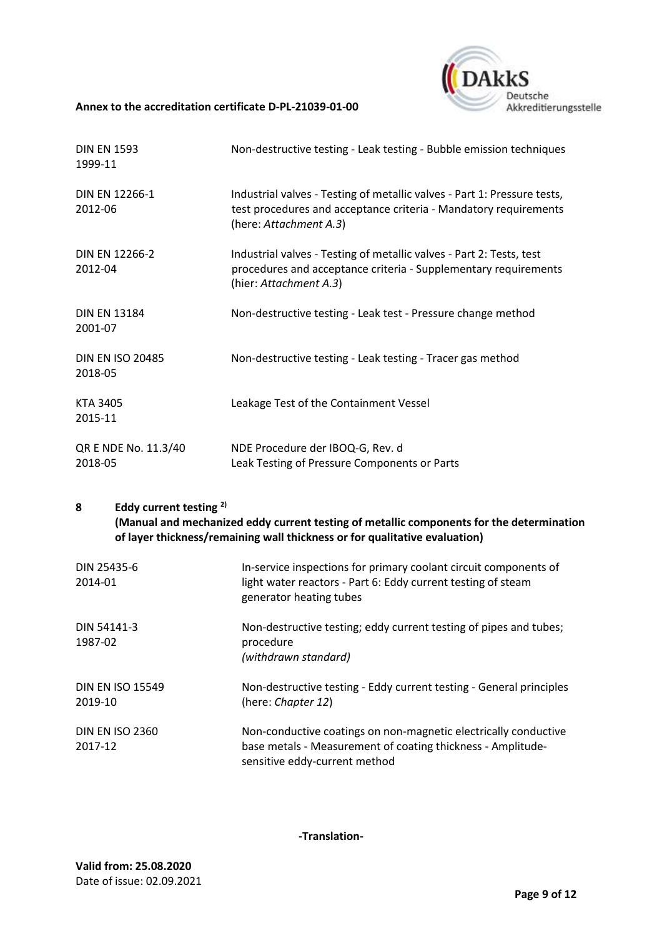## **DAkkS** Deutsche Akkreditierungsstelle

#### **Annex to the accreditation certificate [D-PL-21039-01-00](#page-0-0)**

| <b>DIN EN 1593</b><br>1999-11      | Non-destructive testing - Leak testing - Bubble emission techniques                                                                                                    |
|------------------------------------|------------------------------------------------------------------------------------------------------------------------------------------------------------------------|
| <b>DIN EN 12266-1</b><br>2012-06   | Industrial valves - Testing of metallic valves - Part 1: Pressure tests,<br>test procedures and acceptance criteria - Mandatory requirements<br>(here: Attachment A.3) |
| <b>DIN EN 12266-2</b><br>2012-04   | Industrial valves - Testing of metallic valves - Part 2: Tests, test<br>procedures and acceptance criteria - Supplementary requirements<br>(hier: Attachment A.3)      |
| <b>DIN EN 13184</b><br>2001-07     | Non-destructive testing - Leak test - Pressure change method                                                                                                           |
| <b>DIN EN ISO 20485</b><br>2018-05 | Non-destructive testing - Leak testing - Tracer gas method                                                                                                             |
| <b>KTA 3405</b><br>2015-11         | Leakage Test of the Containment Vessel                                                                                                                                 |
| QR E NDE No. 11.3/40<br>2018-05    | NDE Procedure der IBOQ-G, Rev. d<br>Leak Testing of Pressure Components or Parts                                                                                       |

## **8 Eddy current testing 2) (Manual and mechanized eddy current testing of metallic components for the determination of layer thickness/remaining wall thickness or for qualitative evaluation)**

| DIN 25435-6<br>2014-01             | In-service inspections for primary coolant circuit components of<br>light water reactors - Part 6: Eddy current testing of steam<br>generator heating tubes     |
|------------------------------------|-----------------------------------------------------------------------------------------------------------------------------------------------------------------|
| DIN 54141-3<br>1987-02             | Non-destructive testing; eddy current testing of pipes and tubes;<br>procedure<br>(withdrawn standard)                                                          |
| <b>DIN EN ISO 15549</b><br>2019-10 | Non-destructive testing - Eddy current testing - General principles<br>(here: Chapter 12)                                                                       |
| <b>DIN EN ISO 2360</b><br>2017-12  | Non-conductive coatings on non-magnetic electrically conductive<br>base metals - Measurement of coating thickness - Amplitude-<br>sensitive eddy-current method |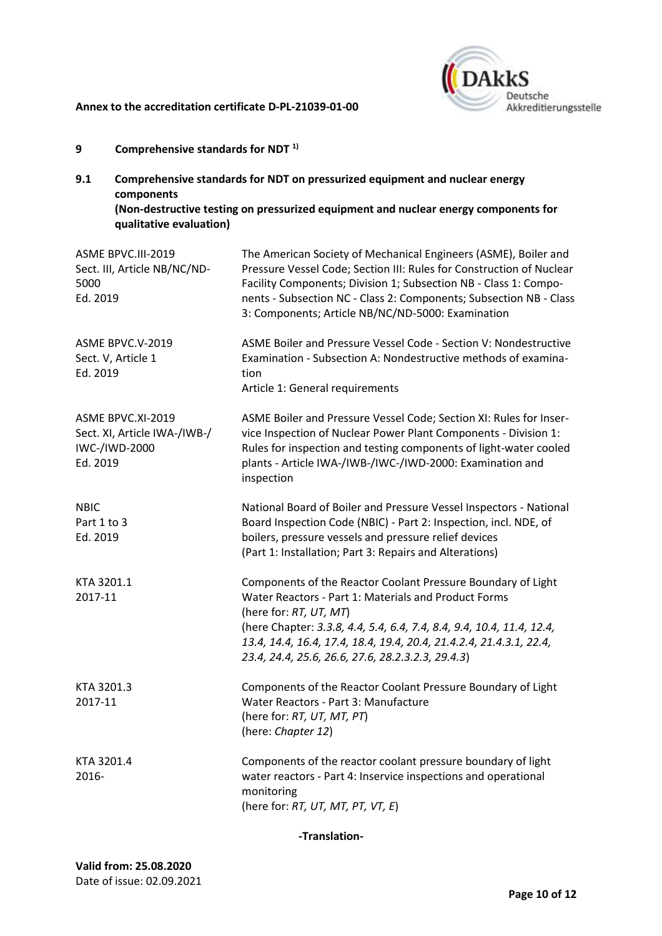

- **9 Comprehensive standards for NDT 1)**
- **9.1 Comprehensive standards for NDT on pressurized equipment and nuclear energy components (Non-destructive testing on pressurized equipment and nuclear energy components for qualitative evaluation)**

| ASME BPVC.III-2019<br>Sect. III, Article NB/NC/ND-<br>5000<br>Ed. 2019         | The American Society of Mechanical Engineers (ASME), Boiler and<br>Pressure Vessel Code; Section III: Rules for Construction of Nuclear<br>Facility Components; Division 1; Subsection NB - Class 1: Compo-<br>nents - Subsection NC - Class 2: Components; Subsection NB - Class<br>3: Components; Article NB/NC/ND-5000: Examination              |
|--------------------------------------------------------------------------------|-----------------------------------------------------------------------------------------------------------------------------------------------------------------------------------------------------------------------------------------------------------------------------------------------------------------------------------------------------|
| ASME BPVC.V-2019<br>Sect. V, Article 1<br>Ed. 2019                             | ASME Boiler and Pressure Vessel Code - Section V: Nondestructive<br>Examination - Subsection A: Nondestructive methods of examina-<br>tion<br>Article 1: General requirements                                                                                                                                                                       |
| ASME BPVC.XI-2019<br>Sect. XI, Article IWA-/IWB-/<br>IWC-/IWD-2000<br>Ed. 2019 | ASME Boiler and Pressure Vessel Code; Section XI: Rules for Inser-<br>vice Inspection of Nuclear Power Plant Components - Division 1:<br>Rules for inspection and testing components of light-water cooled<br>plants - Article IWA-/IWB-/IWC-/IWD-2000: Examination and<br>inspection                                                               |
| <b>NBIC</b><br>Part 1 to 3<br>Ed. 2019                                         | National Board of Boiler and Pressure Vessel Inspectors - National<br>Board Inspection Code (NBIC) - Part 2: Inspection, incl. NDE, of<br>boilers, pressure vessels and pressure relief devices<br>(Part 1: Installation; Part 3: Repairs and Alterations)                                                                                          |
| KTA 3201.1<br>2017-11                                                          | Components of the Reactor Coolant Pressure Boundary of Light<br>Water Reactors - Part 1: Materials and Product Forms<br>(here for: RT, UT, MT)<br>(here Chapter: 3.3.8, 4.4, 5.4, 6.4, 7.4, 8.4, 9.4, 10.4, 11.4, 12.4,<br>13.4, 14.4, 16.4, 17.4, 18.4, 19.4, 20.4, 21.4.2.4, 21.4.3.1, 22.4,<br>23.4, 24.4, 25.6, 26.6, 27.6, 28.2.3.2.3, 29.4.3) |
| KTA 3201.3<br>2017-11                                                          | Components of the Reactor Coolant Pressure Boundary of Light<br>Water Reactors - Part 3: Manufacture<br>(here for: RT, UT, MT, PT)<br>(here: Chapter 12)                                                                                                                                                                                            |
| KTA 3201.4<br>2016-                                                            | Components of the reactor coolant pressure boundary of light<br>water reactors - Part 4: Inservice inspections and operational<br>monitoring<br>(here for: RT, UT, MT, PT, VT, E)                                                                                                                                                                   |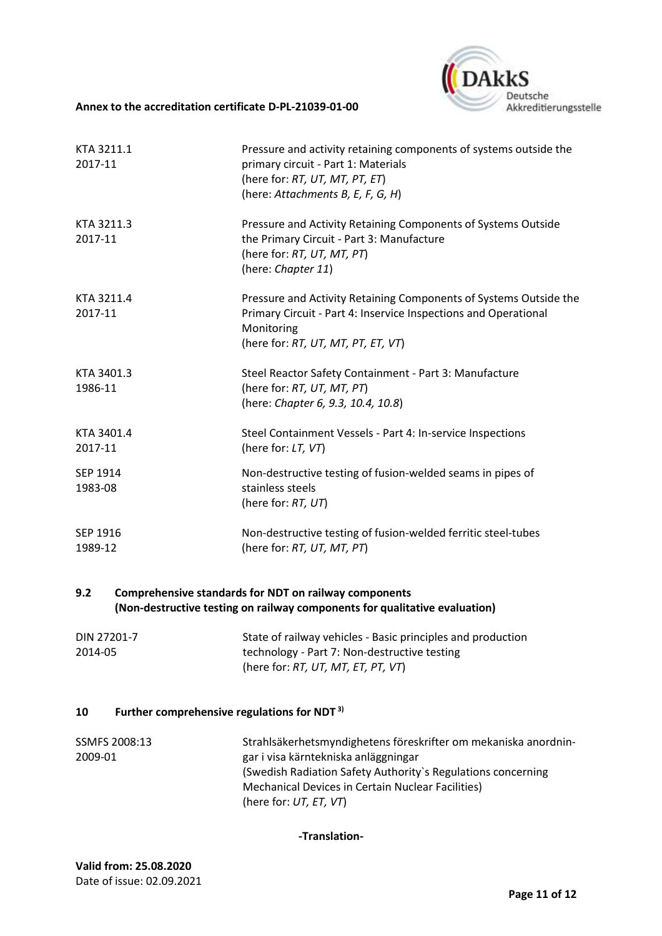

| KTA 3211.1<br>2017-11      | Pressure and activity retaining components of systems outside the<br>primary circuit - Part 1: Materials<br>(here for: RT, UT, MT, PT, ET)<br>(here: Attachments B, E, F, G, H)          |
|----------------------------|------------------------------------------------------------------------------------------------------------------------------------------------------------------------------------------|
| KTA 3211.3<br>2017-11      | Pressure and Activity Retaining Components of Systems Outside<br>the Primary Circuit - Part 3: Manufacture<br>(here for: RT, UT, MT, PT)<br>(here: Chapter 11)                           |
| KTA 3211.4<br>2017-11      | Pressure and Activity Retaining Components of Systems Outside the<br>Primary Circuit - Part 4: Inservice Inspections and Operational<br>Monitoring<br>(here for: RT, UT, MT, PT, ET, VT) |
| KTA 3401.3<br>1986-11      | Steel Reactor Safety Containment - Part 3: Manufacture<br>(here for: RT, UT, MT, PT)<br>(here: Chapter 6, 9.3, 10.4, 10.8)                                                               |
| KTA 3401.4<br>2017-11      | Steel Containment Vessels - Part 4: In-service Inspections<br>(here for: LT, VT)                                                                                                         |
| SEP 1914<br>1983-08        | Non-destructive testing of fusion-welded seams in pipes of<br>stainless steels<br>(here for: RT, UT)                                                                                     |
| <b>SEP 1916</b><br>1989-12 | Non-destructive testing of fusion-welded ferritic steel-tubes<br>(here for: RT, UT, MT, PT)                                                                                              |

### **9.2 Comprehensive standards for NDT on railway components (Non-destructive testing on railway components for qualitative evaluation)**

| DIN 27201-7 | State of railway vehicles - Basic principles and production |
|-------------|-------------------------------------------------------------|
| 2014-05     | technology - Part 7: Non-destructive testing                |
|             | (here for: RT, UT, MT, ET, PT, VT)                          |

#### **10 Further comprehensive regulations for NDT 3)**

| SSMFS 2008:13 | Strahlsäkerhetsmyndighetens föreskrifter om mekaniska anordnin- |
|---------------|-----------------------------------------------------------------|
| 2009-01       | gar i visa kärntekniska anläggningar                            |
|               | (Swedish Radiation Safety Authority's Regulations concerning)   |
|               | Mechanical Devices in Certain Nuclear Facilities)               |
|               | (here for: $UT$ , $ET$ , $VT$ )                                 |